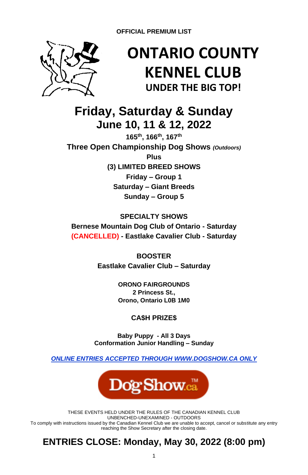

# **ONTARIO COUNTY KENNEL CLUB UNDER THE BIG TOP!**

**Friday, Saturday & Sunday June 10, 11 & 12, 2022**

**165th, 166th, 167th Three Open Championship Dog Shows** *(Outdoors)* **Plus (3) LIMITED BREED SHOWS Friday – Group 1 Saturday – Giant Breeds Sunday – Group 5**

## **SPECIALTY SHOWS Bernese Mountain Dog Club of Ontario - Saturday (CANCELLED) - Eastlake Cavalier Club - Saturday**

**BOOSTER Eastlake Cavalier Club – Saturday**

> **ORONO FAIRGROUNDS 2 Princess St., Orono, Ontario L0B 1M0**

## **CA\$H PRIZE\$**

**Baby Puppy - All 3 Days Conformation Junior Handling – Sunday**

*ONLINE ENTRIES ACCEPTED THROUGH [WWW.DOGSHOW.CA](http://www.dogshow.ca/) ONLY*



THESE EVENTS HELD UNDER THE RULES OF THE CANADIAN KENNEL CLUB UNBENCHED-UNEXAMINED - OUTDOORS To comply with instructions issued by the Canadian Kennel Club we are unable to accept, cancel or substitute any entry reaching the Show Secretary after the closing date.

## **ENTRIES CLOSE: Monday, May 30, 2022 (8:00 pm)**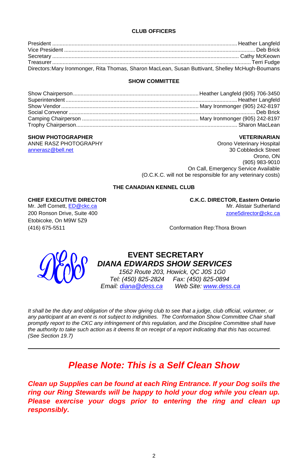### **CLUB OFFICERS**

| Directors: Mary Ironmonger, Rita Thomas, Sharon MacLean, Susan Buttivant, Shelley McHugh-Boumans |  |
|--------------------------------------------------------------------------------------------------|--|

### **SHOW COMMITTEE**

### **SHOW PHOTOGRAPHER VETERINARIAN**

ANNE RASZ PHOTOGRAPHY **CHANNE RASZ PHOTOGRAPHY ORON ORONA** annerasz@bell.net 30 Cobbledick Street Orono, ON (905) 983-9010 On Call, Emergency Service Available (O.C.K.C. will not be responsible for any veterinary costs)

### **THE CANADIAN KENNEL CLUB**

Mr. Jeff Cornett[, ED@ckc.ca](mailto:ED@ckc.ca) Etobicoke, On M9W 5Z9

**CHIEF EXECUTIVE DIRECTOR C.K.C. DIRECTOR, Eastern Ontario** 200 Ronson Drive, Suite 400 **[zone5director@ckc.ca](mailto:zone5director@ckc.ca)** 

(416) 675-5511 Conformation Rep:Thora Brown



### **EVENT SECRETARY** *DIANA EDWARDS SHOW SERVICES*

 *1562 Route 203, Howick, QC J0S 1G0 Tel: (450) 825-2824 Fax: (450) 825-0894 Email: [diana@dess.ca](mailto:diana@dess.ca) Web Site[: www.dess.ca](http://www.dess.ca/)*

*It shall be the duty and obligation of the show giving club to see that a judge, club official, volunteer, or any participant at an event is not subject to indignities. The Conformation Show Committee Chair shall promptly report to the CKC any infringement of this regulation, and the Discipline Committee shall have the authority to take such action as it deems fit on receipt of a report indicating that this has occurred. (See Section 19.7)*

## *Please Note: This is a Self Clean Show*

*Clean up Supplies can be found at each Ring Entrance. If your Dog soils the ring our Ring Stewards will be happy to hold your dog while you clean up. Please exercise your dogs prior to entering the ring and clean up responsibly.*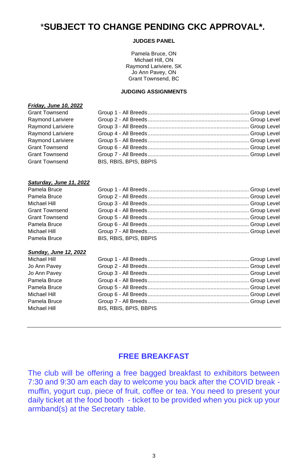## \***SUBJECT TO CHANGE PENDING CKC APPROVAL\*.**

### **JUDGES PANEL**

Pamela Bruce, ON Michael Hill, ON Raymond Lariviere, SK Jo Ann Pavey, ON Grant Townsend, BC

### **JUDGING ASSIGNMENTS**

### *Friday, June 10, 2022*

| Grant Townsend        |                        |  |
|-----------------------|------------------------|--|
| Raymond Lariviere     |                        |  |
| Raymond Lariviere     |                        |  |
| Raymond Lariviere     |                        |  |
| Raymond Lariviere     |                        |  |
| <b>Grant Townsend</b> |                        |  |
| <b>Grant Townsend</b> |                        |  |
| <b>Grant Townsend</b> | BIS, RBIS, BPIS, BBPIS |  |
|                       |                        |  |

### *Saturday, June 11, 2022*

| BIS, RBIS, BPIS, BBPIS |  |
|------------------------|--|
|                        |  |

### *Sunday, June 12, 2022*

| Michael Hill |                        |  |
|--------------|------------------------|--|
| Jo Ann Pavey |                        |  |
| Jo Ann Pavey |                        |  |
| Pamela Bruce |                        |  |
| Pamela Bruce |                        |  |
| Michael Hill |                        |  |
| Pamela Bruce |                        |  |
| Michael Hill | BIS, RBIS, BPIS, BBPIS |  |
|              |                        |  |

## **FREE BREAKFAST**

The club will be offering a free bagged breakfast to exhibitors between 7:30 and 9:30 am each day to welcome you back after the COVID break muffin, yogurt cup, piece of fruit, coffee or tea. You need to present your daily ticket at the food booth - ticket to be provided when you pick up your armband(s) at the Secretary table.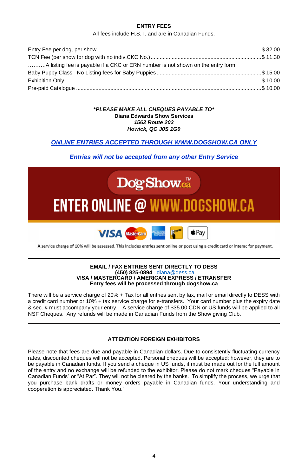### **ENTRY FEES**

All fees include H.S.T. and are in Canadian Funds.

| A listing fee is payable if a CKC or ERN number is not shown on the entry form |  |
|--------------------------------------------------------------------------------|--|
|                                                                                |  |
|                                                                                |  |
|                                                                                |  |

### **\****PLEASE MAKE ALL CHEQUES PAYABLE TO\** **Diana Edwards Show Services** *1562 Route 203 Howick, QC J0S 1G0*

### *ONLINE ENTRIES ACCEPTED THROUGH [WWW.DOGSHOW.CA](http://www.dogshow.ca/) ONLY*

### *Entries will not be accepted from any other Entry Service*



A service charge of 10% will be assessed. This includes entries sent online or post using a credit card or interac for payment.

#### **EMAIL / FAX ENTRIES SENT DIRECTLY TO DESS (450) 825-0894** [diana@dess.ca](mailto:diana@dess.ca) **VISA / MASTERCARD / AMERICAN EXPRESS / ETRANSFER Entry fees will be processed through dogshow.ca**

There will be a service charge of 20% + Tax for all entries sent by fax, mail or email directly to DESS with a credit card number or 10% + tax service charge for e-transfers. Your card number plus the expiry date & sec. # must accompany your entry. A service charge of \$35.00 CDN or US funds will be applied to all NSF Cheques. Any refunds will be made in Canadian Funds from the Show giving Club.

### **ATTENTION FOREIGN EXHIBITORS**

Please note that fees are due and payable in Canadian dollars. Due to consistently fluctuating currency rates, discounted cheques will not be accepted. Personal cheques will be accepted; however, they are to be payable in Canadian funds. If you send a cheque in US funds, it must be made out for the full amount of the entry and no exchange will be refunded to the exhibitor. Please do not mark cheques "Payable in Canadian Funds" or "At Par". They will not be cleared by the banks. To simplify the process, we urge that you purchase bank drafts or money orders payable in Canadian funds. Your understanding and cooperation is appreciated. Thank You."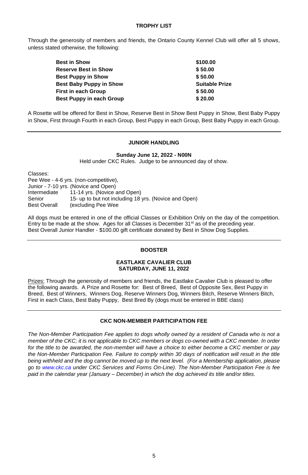### **TROPHY LIST**

Through the generosity of members and friends, the Ontario County Kennel Club will offer all 5 shows, unless stated otherwise, the following:

| Best in Show                   | \$100.00              |
|--------------------------------|-----------------------|
| <b>Reserve Best in Show</b>    | \$50.00               |
| <b>Best Puppy in Show</b>      | \$50.00               |
| <b>Best Baby Puppy in Show</b> | <b>Suitable Prize</b> |
| First in each Group            | \$50.00               |
| Best Puppy in each Group       | \$20.00               |
|                                |                       |

A Rosette will be offered for Best in Show, Reserve Best in Show Best Puppy in Show, Best Baby Puppy in Show, First through Fourth in each Group, Best Puppy in each Group, Best Baby Puppy in each Group.

### **JUNIOR HANDLING**

**Sunday June 12, 2022 - N00N**

Held under CKC Rules. Judge to be announced day of show.

Classes:

Pee Wee - 4-6 yrs. (non-competitive), Junior - 7-10 yrs. (Novice and Open) Intermediate 11-14 yrs. (Novice and Open) Senior 15- up to but not including 18 yrs. (Novice and Open) Best Overall (excluding Pee Wee

All dogs must be entered in one of the official Classes or Exhibition Only on the day of the competition. Entry to be made at the show. Ages for all Classes is December 31<sup>st</sup> as of the preceding year. Best Overall Junior Handler - \$100.00 gift certificate donated by Best in Show Dog Supplies.

### **BOOSTER**

### **EASTLAKE CAVALIER CLUB SATURDAY, JUNE 11, 2022**

Prizes: Through the generosity of members and friends, the Eastlake Cavalier Club is pleased to offer the following awards. A Prize and Rosette for: Best of Breed, Best of Opposite Sex, Best Puppy in Breed, Best of Winners, Winners Dog, Reserve Winners Dog, Winners Bitch, Reserve Winners Bitch, First in each Class, Best Baby Puppy, Best Bred By (dogs must be entered in BBE class)

### **CKC NON-MEMBER PARTICIPATION FEE**

The Non-Member Participation Fee applies to dogs wholly owned by a resident of Canada who is not a *member of the CKC; it is not applicable to CKC members or dogs co-owned with a CKC member. In order for the title to be awarded, the non-member will have a choice to either become a CKC member or pay*  the Non-Member Participation Fee. Failure to comply within 30 days of notification will result in the title *being withheld and the dog cannot be moved up to the next level. (For a Membership application, please go to www.ckc.ca under CKC Services and Forms On-Line). The Non-Member Participation Fee is fee paid in the calendar year (January – December) in which the dog achieved its title and/or titles.*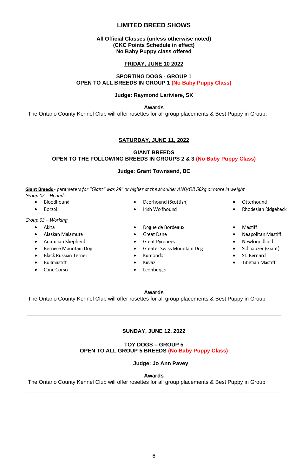### **LIMITED BREED SHOWS**

### **All Official Classes (unless otherwise noted) (CKC Points Schedule in effect) No Baby Puppy class offered**

### **FRIDAY, JUNE 10 2022**

### **SPORTING DOGS - GROUP 1 OPEN TO ALL BREEDS IN GROUP 1 (No Baby Puppy Class)**

### **Judge: Raymond Lariviere, SK**

**Awards**

The Ontario County Kennel Club will offer rosettes for all group placements & Best Puppy in Group.

### **SATURDAY, JUNE 11, 2022**

### **GIANT BREEDS OPEN TO THE FOLLOWING BREEDS IN GROUPS 2 & 3 (No Baby Puppy Class)**

### **Judge: Grant Townsend, BC**

Giant Breeds - parameters for "Giant" was 28" or higher at the shoulder AND/OR 50kg or more in weight Group 02 - Hounds

- · Bloodhound
- $\bullet$ Borzoi

### Group 03 - Working

- · Akita
- Alaskan Malamute
- Anatolian Shepherd  $\bullet$
- Bernese Mountain Dog
- **Black Russian Terrier**
- Bullmastiff
- Cane Corso
- Deerhound (Scottish)
- Irish Wolfhound
- Dogue de Bordeaux
- Great Dane
- **Great Pyrenees**  $\bullet$
- Greater Swiss Mountain Dog
- Komondor
- Kuvaz  $\bullet$
- $\bullet$ Leonberger
- Otterhound  $\bullet$
- Rhodesian Ridgeback
- Mastiff
- Neapolitan Mastiff
- $\bullet$ Newfoundland
- Schnauzer (Giant)
- St. Bernard
- **Tibetian Mastiff**

#### **Awards**

The Ontario County Kennel Club will offer rosettes for all group placements & Best Puppy in Group

### **SUNDAY, JUNE 12, 2022**

### **TOY DOGS – GROUP 5 OPEN TO ALL GROUP 5 BREEDS (No Baby Puppy Class)**

 **Judge: Jo Ann Pavey**

**Awards**

The Ontario County Kennel Club will offer rosettes for all group placements & Best Puppy in Group

# 6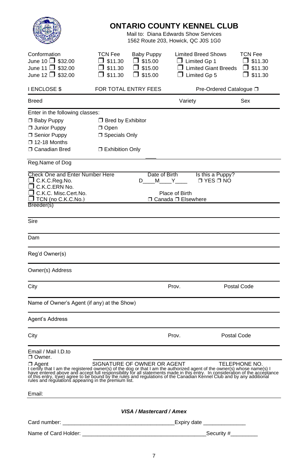|                                                                                                                                                                                                                                                                                   |                                                                       |                                                             | <b>ONTARIO COUNTY KENNEL CLUB</b><br>Mail to: Diana Edwards Show Services<br>1562 Route 203, Howick, QC J0S 1G0 |                                                                         |
|-----------------------------------------------------------------------------------------------------------------------------------------------------------------------------------------------------------------------------------------------------------------------------------|-----------------------------------------------------------------------|-------------------------------------------------------------|-----------------------------------------------------------------------------------------------------------------|-------------------------------------------------------------------------|
| Conformation<br>June 10 $\Box$ \$32.00<br>June 11 $\Box$ \$32.00<br>June 12 $\Box$ \$32.00                                                                                                                                                                                        | TCN Fee<br>$\Box$ \$11.30<br>$\Box$ \$11.30<br>$\Box$ \$11.30         | Baby Puppy<br>$\Box$ \$15.00<br>$\Box$ \$15.00<br>J \$15.00 | <b>Limited Breed Shows</b><br>$\Box$ Limited Gp 1<br>$\Box$ Limited Giant Breeds<br>$\Box$ Limited Gp 5         | <b>TCN Fee</b><br>$\square$ \$11.30<br>$\Box$ \$11.30<br>$\Box$ \$11.30 |
| <b>I ENCLOSE \$</b>                                                                                                                                                                                                                                                               |                                                                       | FOR TOTAL ENTRY FEES                                        |                                                                                                                 | Pre-Ordered Catalogue □                                                 |
| <b>Breed</b>                                                                                                                                                                                                                                                                      |                                                                       |                                                             | Variety                                                                                                         | Sex                                                                     |
| Enter in the following classes:<br>□ Baby Puppy<br>Junior Puppy<br>□ Senior Puppy<br>$\square$ 12-18 Months<br>□ Canadian Bred                                                                                                                                                    | □ Bred by Exhibitor<br>□ Open<br>□ Specials Only<br>□ Exhibition Only |                                                             |                                                                                                                 |                                                                         |
| Reg.Name of Dog                                                                                                                                                                                                                                                                   |                                                                       |                                                             |                                                                                                                 |                                                                         |
| <b>Check One and Enter Number Here</b><br>□ C.K.C.Reg.No.<br>C.K.C.ERN No.<br><b>T</b> C.K.C. Misc.Cert.No.<br>J TCN (no C.K.C.No.)<br>Breeder(s)                                                                                                                                 |                                                                       | Date of Birth<br>D M Y                                      | Is this a Puppy?<br>$\Box$ YES $\Box$ NO<br>Place of Birth<br>□ Canada □ Elsewhere                              |                                                                         |
| Sire                                                                                                                                                                                                                                                                              |                                                                       |                                                             |                                                                                                                 |                                                                         |
| Dam                                                                                                                                                                                                                                                                               |                                                                       |                                                             |                                                                                                                 |                                                                         |
| Reg'd Owner(s)                                                                                                                                                                                                                                                                    |                                                                       |                                                             |                                                                                                                 |                                                                         |
| Owner(s) Address                                                                                                                                                                                                                                                                  |                                                                       |                                                             |                                                                                                                 |                                                                         |
| City                                                                                                                                                                                                                                                                              |                                                                       |                                                             | Prov.                                                                                                           | Postal Code                                                             |
| Name of Owner's Agent (if any) at the Show)                                                                                                                                                                                                                                       |                                                                       |                                                             |                                                                                                                 |                                                                         |
| Agent's Address                                                                                                                                                                                                                                                                   |                                                                       |                                                             |                                                                                                                 |                                                                         |
| City                                                                                                                                                                                                                                                                              |                                                                       |                                                             | Prov.                                                                                                           | Postal Code                                                             |
| Email / Mail I.D.to<br>□ Owner.<br>$\Box$ Agent SIGNATURE OF OWNER OR AGENT TELEPHONE NO.<br>I certify that I am the registered where $\Box$ and or that I am the background agent of the owner(s) I have entered above and accept full responsibility for all statemen<br>Email: |                                                                       |                                                             |                                                                                                                 |                                                                         |
|                                                                                                                                                                                                                                                                                   |                                                                       |                                                             |                                                                                                                 |                                                                         |
|                                                                                                                                                                                                                                                                                   |                                                                       | VISA / Mastercard / Amex                                    |                                                                                                                 |                                                                         |
|                                                                                                                                                                                                                                                                                   |                                                                       |                                                             |                                                                                                                 |                                                                         |
|                                                                                                                                                                                                                                                                                   |                                                                       |                                                             |                                                                                                                 |                                                                         |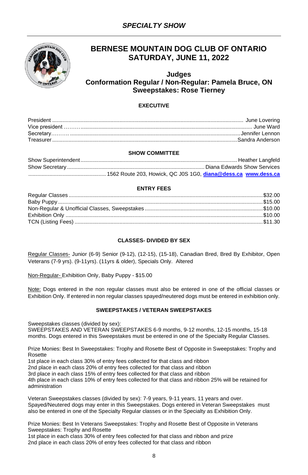

## **BERNESE MOUNTAIN DOG CLUB OF ONTARIO SATURDAY, JUNE 11, 2022**

### **Judges Conformation Regular / Non-Regular: Pamela Bruce, ON Sweepstakes: Rose Tierney**

### **EXECUTIVE**

### **SHOW COMMITTEE**

### **ENTRY FEES**

### **CLASSES- DIVIDED BY SEX**

Regular Classes- Junior (6-9) Senior (9-12), (12-15), (15-18), Canadian Bred, Bred By Exhibitor, Open Veterans (7-9 yrs). (9-11yrs). (11yrs & older), Specials Only. Altered

Non-Regular- Exhibition Only, Baby Puppy - \$15.00

Note: Dogs entered in the non regular classes must also be entered in one of the official classes or Exhibition Only. If entered in non regular classes spayed/neutered dogs must be entered in exhibition only.

### **SWEEPSTAKES / VETERAN SWEEPSTAKES**

Sweepstakes classes (divided by sex):

SWEEPSTAKES AND VETERAN SWEEPSTAKES 6-9 months, 9-12 months, 12-15 months, 15-18 months. Dogs entered in this Sweepstakes must be entered in one of the Specialty Regular Classes.

Prize Monies: Best In Sweepstakes: Trophy and Rosette Best of Opposite in Sweepstakes: Trophy and Rosette

1st place in each class 30% of entry fees collected for that class and ribbon

2nd place in each class 20% of entry fees collected for that class and ribbon

3rd place in each class 15% of entry fees collected for that class and ribbon

4th place in each class 10% of entry fees collected for that class and ribbon 25% will be retained for administration

Veteran Sweepstakes classes (divided by sex): 7-9 years, 9-11 years, 11 years and over. Spayed/Neutered dogs may enter in this Sweepstakes. Dogs entered in Veteran Sweepstakes must also be entered in one of the Specialty Regular classes or in the Specialty as Exhibition Only.

Prize Monies: Best In Veterans Sweepstakes: Trophy and Rosette Best of Opposite in Veterans Sweepstakes: Trophy and Rosette

1st place in each class 30% of entry fees collected for that class and ribbon and prize 2nd place in each class 20% of entry fees collected for that class and ribbon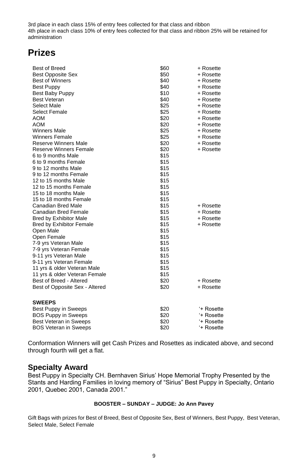3rd place in each class 15% of entry fees collected for that class and ribbon 4th place in each class 10% of entry fees collected for that class and ribbon 25% will be retained for administration

## **Prizes**

| <b>Best of Breed</b>            | \$60 | + Rosette  |
|---------------------------------|------|------------|
| <b>Best Opposite Sex</b>        | \$50 | + Rosette  |
| <b>Best of Winners</b>          | \$40 | + Rosette  |
| <b>Best Puppy</b>               | \$40 | + Rosette  |
| Best Baby Puppy                 | \$10 | + Rosette  |
| <b>Best Veteran</b>             | \$40 | + Rosette  |
| Select Male                     | \$25 | + Rosette  |
| Select Female                   | \$25 | + Rosette  |
| AOM                             | \$20 | + Rosette  |
| <b>AOM</b>                      | \$20 | + Rosette  |
| <b>Winners Male</b>             | \$25 | + Rosette  |
| <b>Winners Female</b>           | \$25 | + Rosette  |
| Reserve Winners Male            | \$20 | + Rosette  |
| Reserve Winners Female          | \$20 | + Rosette  |
| 6 to 9 months Male              | \$15 |            |
| 6 to 9 months Female            | \$15 |            |
| 9 to 12 months Male             | \$15 |            |
| 9 to 12 months Female           | \$15 |            |
| 12 to 15 months Male            | \$15 |            |
| 12 to 15 months Female          | \$15 |            |
| 15 to 18 months Male            | \$15 |            |
| 15 to 18 months Female          | \$15 |            |
| Canadian Bred Male              | \$15 | + Rosette  |
| Canadian Bred Female            | \$15 | + Rosette  |
| <b>Bred by Exhibitor Male</b>   | \$15 | + Rosette  |
| <b>Bred by Exhibitor Female</b> | \$15 | + Rosette  |
| Open Male                       | \$15 |            |
| Open Female                     | \$15 |            |
| 7-9 yrs Veteran Male            | \$15 |            |
| 7-9 yrs Veteran Female          | \$15 |            |
| 9-11 yrs Veteran Male           | \$15 |            |
| 9-11 yrs Veteran Female         | \$15 |            |
| 11 yrs & older Veteran Male     | \$15 |            |
| 11 yrs & older Veteran Female   | \$15 |            |
| Best of Breed - Altered         | \$20 | + Rosette  |
| Best of Opposite Sex - Altered  | \$20 | + Rosette  |
| <b>SWEEPS</b>                   |      |            |
| Best Puppy in Sweeps            | \$20 | '+ Rosette |
| <b>BOS Puppy in Sweeps</b>      | \$20 | '+ Rosette |
| Best Veteran in Sweeps          | \$20 | '+ Rosette |
| <b>BOS Veteran in Sweeps</b>    | \$20 | '+ Rosette |

Conformation Winners will get Cash Prizes and Rosettes as indicated above, and second through fourth will get a flat.

### **Specialty Award**

Best Puppy in Specialty CH. Bernhaven Sirius' Hope Memorial Trophy Presented by the Stants and Harding Families in loving memory of "Sirius" Best Puppy in Specialty, Ontario 2001, Quebec 2001, Canada 2001."

### **BOOSTER – SUNDAY – JUDGE: Jo Ann Pavey**

Gift Bags with prizes for Best of Breed, Best of Opposite Sex, Best of Winners, Best Puppy, Best Veteran, Select Male, Select Female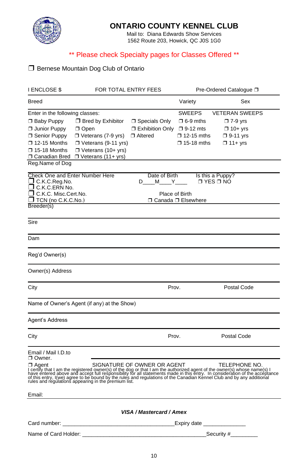

## **ONTARIO COUNTY KENNEL CLUB**

Mail to: Diana Edwards Show Services 1562 Route 203, Howick, QC J0S 1G0

## \*\* Please check Specialty pages for Classes Offered \*\*

## ❒ Bernese Mountain Dog Club of Ontario

| I ENCLOSE \$                                                                                                                               | FOR TOTAL ENTRY FEES                                                                                                                                         |                                                                        | Pre-Ordered Catalogue □                                                             |                                                                                                                                                                                                                                                 |  |
|--------------------------------------------------------------------------------------------------------------------------------------------|--------------------------------------------------------------------------------------------------------------------------------------------------------------|------------------------------------------------------------------------|-------------------------------------------------------------------------------------|-------------------------------------------------------------------------------------------------------------------------------------------------------------------------------------------------------------------------------------------------|--|
| Breed                                                                                                                                      |                                                                                                                                                              |                                                                        | Variety                                                                             | Sex                                                                                                                                                                                                                                             |  |
| Enter in the following classes:<br>□ Baby Puppy<br>□ Junior Puppy<br>□ Senior Puppy<br>□ 12-15 Months<br>□ 15-18 Months<br>□ Canadian Bred | $\Box$ Bred by Exhibitor<br>$\Box$ Open<br>$\Box$ Veterans (7-9 yrs)<br>$\Box$ Veterans (9-11 yrs)<br>$\Box$ Veterans (10+ yrs)<br>$\Box$ Veterans (11+ yrs) | □ Specials Only<br>$\Box$ Exhibition Only $\Box$ 9-12 mts<br>□ Altered | <b>SWEEPS</b><br>$\square$ 6-9 mths<br>$\square$ 12-15 mths<br>$\square$ 15-18 mths | <b>VETERAN SWEEPS</b><br>$\square$ 7-9 yrs<br>$\Box$ 10+ yrs<br>$\Box$ 9-11 yrs<br>$\Box$ 11+ yrs                                                                                                                                               |  |
| Reg.Name of Dog                                                                                                                            |                                                                                                                                                              |                                                                        |                                                                                     |                                                                                                                                                                                                                                                 |  |
| Check One and Enter Number Here<br>□ C.K.C.Reg.No.<br>J C.K.C.ERN No.<br>C.K.C. Misc.Cert.No.<br>J TCN (no C.K.C.No.)<br>Breeder(s)        |                                                                                                                                                              | Date of Birth<br>D____ M_____ Y_____                                   | Place of Birth<br>□ Canada □ Elsewhere                                              | Is this a Puppy?<br>□ YES □ NO                                                                                                                                                                                                                  |  |
| Sire                                                                                                                                       |                                                                                                                                                              |                                                                        |                                                                                     |                                                                                                                                                                                                                                                 |  |
| Dam                                                                                                                                        |                                                                                                                                                              |                                                                        |                                                                                     |                                                                                                                                                                                                                                                 |  |
| Reg'd Owner(s)                                                                                                                             |                                                                                                                                                              |                                                                        |                                                                                     |                                                                                                                                                                                                                                                 |  |
| Owner(s) Address                                                                                                                           |                                                                                                                                                              |                                                                        |                                                                                     |                                                                                                                                                                                                                                                 |  |
| City                                                                                                                                       |                                                                                                                                                              | Prov.                                                                  |                                                                                     | Postal Code                                                                                                                                                                                                                                     |  |
|                                                                                                                                            | Name of Owner's Agent (if any) at the Show)                                                                                                                  |                                                                        |                                                                                     |                                                                                                                                                                                                                                                 |  |
| Agent's Address                                                                                                                            |                                                                                                                                                              |                                                                        |                                                                                     |                                                                                                                                                                                                                                                 |  |
| City                                                                                                                                       |                                                                                                                                                              | Prov.                                                                  |                                                                                     | Postal Code                                                                                                                                                                                                                                     |  |
| Email / Mail I.D.to<br>□ Owner.<br>□ Agent                                                                                                 |                                                                                                                                                              | SIGNATURE OF OWNER OR AGENT                                            |                                                                                     | TELEPHONE NO.<br>Detail is a metally that I am the registered owner(s) of the dog or that I am the authorized agent of the owner(s) whose name(s) I have entreped agent of the owner(s) whose name(s) I have entreped above and accept full res |  |
| Email:                                                                                                                                     |                                                                                                                                                              |                                                                        |                                                                                     |                                                                                                                                                                                                                                                 |  |
|                                                                                                                                            |                                                                                                                                                              | VISA / Mastercard / Amex                                               |                                                                                     |                                                                                                                                                                                                                                                 |  |
| Card number:                                                                                                                               |                                                                                                                                                              |                                                                        | Expiry date ___________                                                             |                                                                                                                                                                                                                                                 |  |
| Name of Card Holder: ________                                                                                                              |                                                                                                                                                              |                                                                        |                                                                                     | Security $#$ ________                                                                                                                                                                                                                           |  |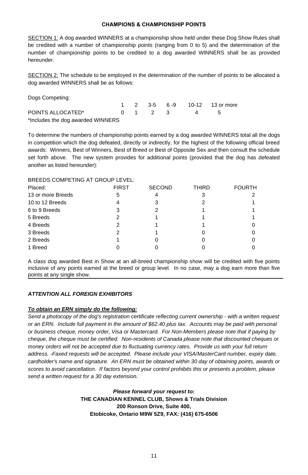### **CHAMPIONS & CHAMPIONSHIP POINTS**

SECTION 1: A dog awarded WINNERS at a championship show held under these Dog Show Rules shall be credited with a number of championship points (ranging from 0 to 5) and the determination of the number of championship points to be credited to a dog awarded WINNERS shall be as provided hereunder.

SECTION 2: The schedule to be employed in the determination of the number of points to be allocated a dog awarded WINNERS shall be as follows:

| Dogs Competing:                   |  |                                 |  |                  |
|-----------------------------------|--|---------------------------------|--|------------------|
|                                   |  | $1 \quad 2 \quad 3-5 \quad 6-9$ |  | 10-12 13 or more |
| POINTS ALLOCATED*                 |  | $0 \t1 \t2 \t3$                 |  |                  |
| *Includes the dog awarded WINNERS |  |                                 |  |                  |

To determine the numbers of championship points earned by a dog awarded WINNERS total all the dogs in competition which the dog defeated, directly or indirectly, for the highest of the following official breed awards: Winners, Best of Winners, Best of Breed or Best of Opposite Sex and then consult the schedule set forth above. The new system provides for additional points (provided that the dog has defeated another as listed hereunder):

### BREEDS COMPETING AT GROUP LEVEL:

| Placed:           | <b>FIRST</b> | <b>SECOND</b> | <b>THIRD</b> | <b>FOURTH</b> |
|-------------------|--------------|---------------|--------------|---------------|
| 13 or more Breeds | 5            |               | 3            |               |
| 10 to 12 Breeds   |              | 3             |              |               |
| 6 to 9 Breeds     | 3            |               |              |               |
| 5 Breeds          |              |               |              |               |
| 4 Breeds          |              |               |              |               |
| 3 Breeds          |              |               |              |               |
| 2 Breeds          |              |               |              |               |
| 1 Breed           |              |               |              |               |

A class dog awarded Best in Show at an all-breed championship show will be credited with five points inclusive of any points earned at the breed or group level. In no case, may a dog earn more than five points at any single show.

### *ATTENTION ALL FOREIGN EXHIBITORS*

### *To obtain an ERN simply do the following:*

*Send a photocopy of the dog's registration certificate reflecting current ownership - with a written request or an ERN. Include full payment in the amount of \$62.40 plus tax. Accounts may be paid with personal or business cheque, money order, Visa or Mastercard. For Non-Members please note that if paying by cheque, the cheque must be certified. Non-residents of Canada please note that discounted cheques or money orders will not be accepted due to fluctuating currency rates. Provide us with your full return address. -Faxed requests will be accepted. Please include your VISA/MasterCard number, expiry date, cardholder's name and signature. An ERN must be obtained within 30 day of obtaining points, awards or scores to avoid cancellation. If factors beyond your control prohibits this or presents a problem, please send a written request for a 30 day extension.*

> *Please forward your request to:*  **THE CANADIAN KENNEL CLUB, Shows & Trials Division 200 Ronson Drive, Suite 400, Etobicoke, Ontario M9W 5Z9, FAX: (416) 675-6506**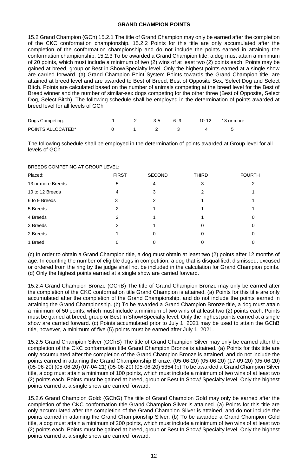### **GRAND CHAMPION POINTS**

15.2 Grand Champion (GCh) 15.2.1 The title of Grand Champion may only be earned after the completion of the CKC conformation championship. 15.2.2 Points for this title are only accumulated after the completion of the conformation championship and do not include the points earned in attaining the conformation championship. 15.2.3 To be awarded a Grand Champion title, a dog must attain a minimum of 20 points, which must include a minimum of two (2) wins of at least two (2) points each. Points may be gained at breed, group or Best in Show/Specialty level. Only the highest points earned at a single show are carried forward. (a) Grand Champion Point System Points towards the Grand Champion title, are attained at breed level and are awarded to Best of Breed, Best of Opposite Sex, Select Dog and Select Bitch. Points are calculated based on the number of animals competing at the breed level for the Best of Breed winner and the number of similar-sex dogs competing for the other three (Best of Opposite, Select Dog, Select Bitch). The following schedule shall be employed in the determination of points awarded at breed level for all levels of GCh

| Dogs Competing:   |  | $3-5$ 6-9 |  | 10-12 13 or more |
|-------------------|--|-----------|--|------------------|
| POINTS ALLOCATED* |  |           |  |                  |

The following schedule shall be employed in the determination of points awarded at Group level for all levels of GCh

| BREEDS COMPETING AT GROUP LEVEL: |  |
|----------------------------------|--|
|----------------------------------|--|

| Placed:           | <b>FIRST</b>   | <b>SECOND</b>  | <b>THIRD</b> | <b>FOURTH</b> |
|-------------------|----------------|----------------|--------------|---------------|
| 13 or more Breeds | 5              | 4              | 3            | 2             |
| 10 to 12 Breeds   | 4              | 3              | 2            |               |
| 6 to 9 Breeds     | 3              | $\overline{2}$ |              |               |
| 5 Breeds          | $\overline{2}$ |                |              |               |
| 4 Breeds          | 2              |                |              | 0             |
| 3 Breeds          | $\mathfrak{p}$ |                | 0            |               |
| 2 Breeds          |                | 0              | 0            |               |
| 1 Breed           | 0              | 0              |              |               |

(c) In order to obtain a Grand Champion title, a dog must obtain at least two (2) points after 12 months of age. In counting the number of eligible dogs in competition, a dog that is disqualified, dismissed, excused or ordered from the ring by the judge shall not be included in the calculation for Grand Champion points. (d) Only the highest points earned at a single show are carried forward.

15.2.4 Grand Champion Bronze (GChB) The title of Grand Champion Bronze may only be earned after the completion of the CKC conformation title Grand Champion is attained. (a) Points for this title are only accumulated after the completion of the Grand Championship, and do not include the points earned in attaining the Grand Championship. (b) To be awarded a Grand Champion Bronze title, a dog must attain a minimum of 50 points, which must include a minimum of two wins of at least two (2) points each. Points must be gained at breed, group or Best In Show/Specialty level. Only the highest points earned at a single show are carried forward. (c) Points accumulated prior to July 1, 2021 may be used to attain the GChB title, however, a minimum of five (5) points must be earned after July 1, 2021.

15.2.5 Grand Champion Silver (GChS) The title of Grand Champion Silver may only be earned after the completion of the CKC conformation title Grand Champion Bronze is attained. (a) Points for this title are only accumulated after the completion of the Grand Champion Bronze is attained, and do not include the points earned in attaining the Grand Championship Bronze. (05-06-20) (05-06-20) (17-09-20) (05-06-20) (05-06-20) (05-06-20) (07-04-21) (05-06-20) (05-06-20) 5354 (b) To be awarded a Grand Champion Silver title, a dog must attain a minimum of 100 points, which must include a minimum of two wins of at least two (2) points each. Points must be gained at breed, group or Best In Show/ Specialty level. Only the highest points earned at a single show are carried forward.

15.2.6 Grand Champion Gold: (GChG) The title of Grand Champion Gold may only be earned after the completion of the CKC conformation title Grand Champion Silver is attained. (a) Points for this title are only accumulated after the completion of the Grand Champion Silver is attained, and do not include the points earned in attaining the Grand Championship Silver. (b) To be awarded a Grand Champion Gold title, a dog must attain a minimum of 200 points, which must include a minimum of two wins of at least two (2) points each. Points must be gained at breed, group or Best In Show/ Specialty level. Only the highest points earned at a single show are carried forward.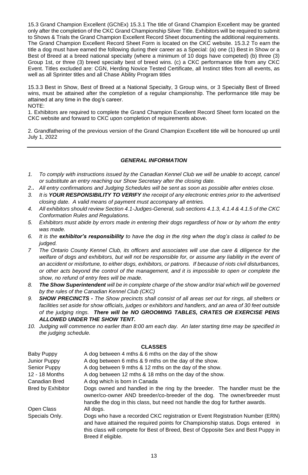15.3 Grand Champion Excellent (GChEx) 15.3.1 The title of Grand Champion Excellent may be granted only after the completion of the CKC Grand Championship Silver Title. Exhibitors will be required to submit to Shows & Trials the Grand Champion Excellent Record Sheet documenting the additional requirements. The Grand Champion Excellent Record Sheet Form is located on the CKC website. 15.3.2 To earn the title a dog must have earned the following during their career as a Special: (a) one (1) Best in Show or a Best of Breed at a breed national specialty (where a minimum of 10 dogs have competed) (b) three (3) Group 1st, or three (3) breed specialty best of breed wins. (c) a CKC performance title from any CKC Event. Titles excluded are: CGN, Herding Novice Tested Certificate, all Instinct titles from all events, as well as all Sprinter titles and all Chase Ability Program titles

15.3.3 Best in Show, Best of Breed at a National Specialty, 3 Group wins, or 3 Specialty Best of Breed wins, must be attained after the completion of a regular championship. The performance title may be attained at any time in the dog's career. NOTE:

1. Exhibitors are required to complete the Grand Champion Excellent Record Sheet form located on the CKC website and forward to CKC upon completion of requirements above.

2. Grandfathering of the previous version of the Grand Champion Excellent title will be honoured up until July 1, 2022

### *GENERAL INFORMATION*

- *1. To comply with instructions issued by the Canadian Kennel Club we will be unable to accept, cancel or substitute an entry reaching our Show Secretary after the closing date.*
- *2.***.** *All entry confirmations and Judging Schedules will be sent as soon as possible after entries close.*
- *3. It is YOUR RESPONSIBILITY TO VERIFY the receipt of any electronic entries prior to the advertised closing date. A valid means of payment must accompany all entries.*
- *4. All exhibitors should review Section 4.1-Judges-General, sub sections 4.1.3, 4.1.4 & 4.1.5 of the CKC Conformation Rules and Regulations.*
- *5. Exhibitors must abide by errors made in entering their dogs regardless of how or by whom the entry was made.*
- *6. It is the exhibitor's responsibility to have the dog in the ring when the dog's class is called to be judged.*
- *7 The Ontario County Kennel Club, its officers and associates will use due care & diligence for the welfare of dogs and exhibitors, but will not be responsible for, or assume any liability in the event of an accident or misfortune, to either dogs, exhibitors, or patrons. If because of riots civil disturbances, or other acts beyond the control of the management, and it is impossible to open or complete the show, no refund of entry fees will be made.*
- *8. The Show Superintendent will be in complete charge of the show and/or trial which will be governed by the rules of the Canadian Kennel Club (CKC)*
- *9. SHOW PRECINCTS - The Show precincts shall consist of all areas set out for rings, all shelters or*  facilities set aside for show officials, judges or exhibitors and handlers, and an area of 30 feet outside *of the judging rings. There will be NO GROOMING TABLES, CRATES OR EXERCISE PENS ALLOWED UNDER THE SHOW TENT.*
- *10. Judging will commence no earlier than 8:00 am each day. An later starting time may be specified in the judging schedule.*

### **CLASSES**

| Baby Puppy               | A dog between 4 mths & 6 mths on the day of the show                                                                                                                                                                                                                      |  |  |  |  |
|--------------------------|---------------------------------------------------------------------------------------------------------------------------------------------------------------------------------------------------------------------------------------------------------------------------|--|--|--|--|
| Junior Puppy             | A dog between 6 mths & 9 mths on the day of the show.                                                                                                                                                                                                                     |  |  |  |  |
| Senior Puppy             | A dog between 9 mths & 12 mths on the day of the show.                                                                                                                                                                                                                    |  |  |  |  |
| 12 - 18 Months           | A dog between 12 mths & 18 mths on the day of the show.                                                                                                                                                                                                                   |  |  |  |  |
| Canadian Bred            | A dog which is born in Canada                                                                                                                                                                                                                                             |  |  |  |  |
| <b>Bred by Exhibitor</b> | Dogs owned and handled in the ring by the breeder. The handler must be the<br>owner/co-owner AND breeder/co-breeder of the dog. The owner/breeder must<br>handle the dog in this class, but need not handle the dog for further awards.                                   |  |  |  |  |
| Open Class               | All dogs.                                                                                                                                                                                                                                                                 |  |  |  |  |
| Specials Only.           | Dogs who have a recorded CKC registration or Event Registration Number (ERN)<br>and have attained the required points for Championship status. Dogs entered in<br>this class will compete for Best of Breed, Best of Opposite Sex and Best Puppy in<br>Breed if eligible. |  |  |  |  |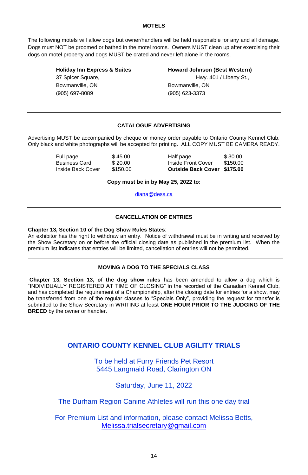### **MOTELS**

The following motels will allow dogs but owner/handlers will be held responsible for any and all damage. Dogs must NOT be groomed or bathed in the motel rooms. Owners MUST clean up after exercising their dogs on motel property and dogs MUST be crated and never left alone in the rooms.

**Holiday Inn Express & Suites Howard Johnson (Best Western)** 37 Spicer Square, The Contract of the Hwy. 401 / Liberty St., Bowmanville, ON Bowmanville, ON (905) 697-8089 (905) 623-3373

### **CATALOGUE ADVERTISING**

Advertising MUST be accompanied by cheque or money order payable to Ontario County Kennel Club. Only black and white photographs will be accepted for printing. ALL COPY MUST BE CAMERA READY.

| Full page         | \$45.00  | Half page                   | \$30.00  |
|-------------------|----------|-----------------------------|----------|
| Business Card     | \$20.00  | Inside Front Cover          | \$150.00 |
| Inside Back Cover | \$150.00 | Outside Back Cover \$175.00 |          |

**Copy must be in by May 25, 2022 to:**

[diana@dess.ca](mailto:diana@dess.ca)

### **CANCELLATION OF ENTRIES**

### **Chapter 13, Section 10 of the Dog Show Rules States**:

An exhibitor has the right to withdraw an entry. Notice of withdrawal must be in writing and received by the Show Secretary on or before the official closing date as published in the premium list. When the premium list indicates that entries will be limited, cancellation of entries will not be permitted.

### **MOVING A DOG TO THE SPECIALS CLASS**

**Chapter 13, Section 13, of the dog show rules** has been amended to allow a dog which is "INDIVIDUALLY REGISTERED AT TIME OF CLOSING" in the recorded of the Canadian Kennel Club, and has completed the requirement of a Championship, after the closing date for entries for a show, may be transferred from one of the regular classes to "Specials Only", providing the request for transfer is submitted to the Show Secretary in WRITING at least **ONE HOUR PRIOR TO THE JUDGING OF THE BREED** by the owner or handler.

## **ONTARIO COUNTY KENNEL CLUB AGILITY TRIALS**

To be held at Furry Friends Pet Resort 5445 Langmaid Road, Clarington ON

Saturday, June 11, 2022

The Durham Region Canine Athletes will run this one day trial

For Premium List and information, please contact Melissa Betts, [Melissa.trialsecretary@gmail.com](mailto:Melissa.trialsecretary@gmail.com)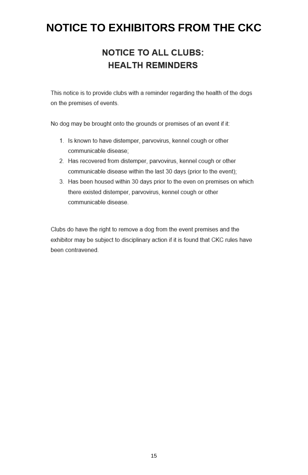## **NOTICE TO EXHIBITORS FROM THE CKC**

## **NOTICE TO ALL CLUBS: HEALTH REMINDERS**

This notice is to provide clubs with a reminder regarding the health of the dogs on the premises of events.

No dog may be brought onto the grounds or premises of an event if it:

- 1. Is known to have distemper, parvovirus, kennel cough or other communicable disease:
- 2. Has recovered from distemper, parvovirus, kennel cough or other communicable disease within the last 30 days (prior to the event);
- 3. Has been housed within 30 days prior to the even on premises on which there existed distemper, parvovirus, kennel cough or other communicable disease.

Clubs do have the right to remove a dog from the event premises and the exhibitor may be subject to disciplinary action if it is found that CKC rules have been contravened.